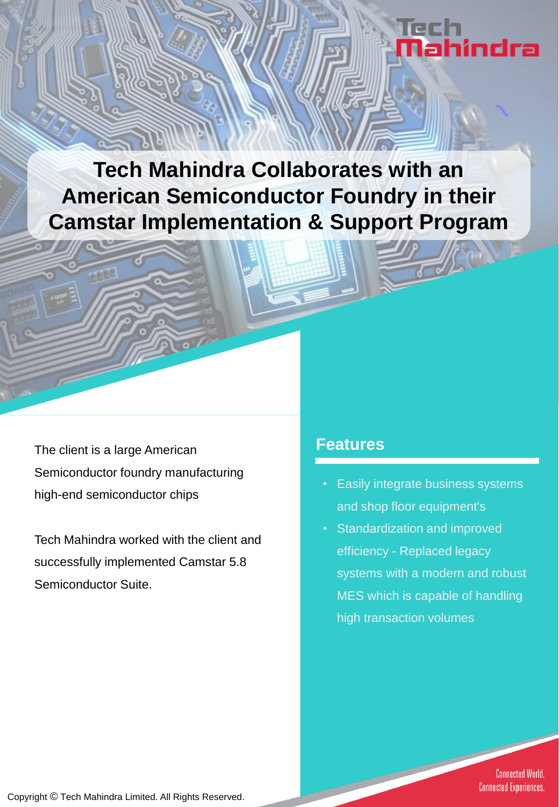# hindra

**Tech Mahindra Collaborates with an American Semiconductor Foundry in their Camstar Implementation & Support Program**

The client is a large American **Features** Semiconductor foundry manufacturing high-end semiconductor chips

Tech Mahindra worked with the client and successfully implemented Camstar 5.8 Semiconductor Suite.

- Easily integrate business systems and shop floor equipment's
- Standardization and improved efficiency - Replaced legacy systems with a modern and robust MES which is capable of handling high transaction volumes

**Connected World. Connected Experiences.**